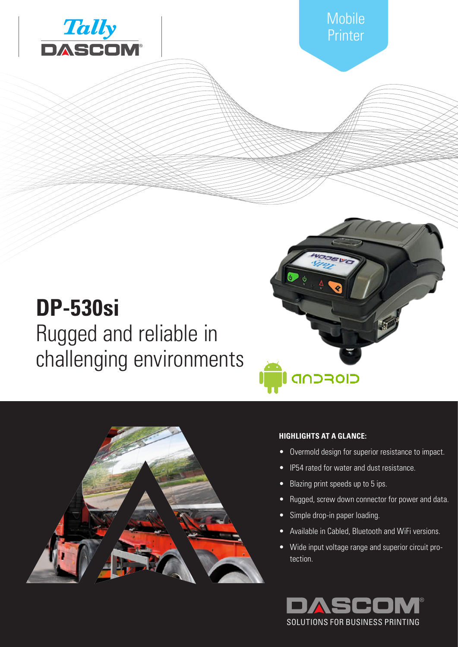

# **DP-530si** Rugged and reliable in challenging environments



### **HIGHLIGHTS AT A GLANCE:**

**CIOFCND** 

- Overmold design for superior resistance to impact.
- **IP54** rated for water and dust resistance.
- Blazing print speeds up to 5 ips.
- Rugged, screw down connector for power and data.
- Simple drop-in paper loading.
- Available in Cabled, Bluetooth and WiFi versions.
- Wide input voltage range and superior circuit protection.